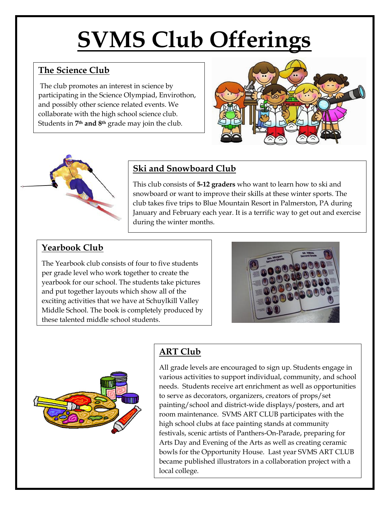# **SVMS Club Offerings**

## **The Science Club**

The club promotes an interest in science by participating in the Science Olympiad, Envirothon, and possibly other science related events. We collaborate with the high school science club. Students in **7th and 8th** grade may join the club.





## **Ski and Snowboard Club**

This club consists of **5-12 graders** who want to learn how to ski and snowboard or want to improve their skills at these winter sports. The club takes five trips to Blue Mountain Resort in Palmerston, PA during January and February each year. It is a terrific way to get out and exercise during the winter months.

## **Yearbook Club**

The Yearbook club consists of four to five students per grade level who work together to create the yearbook for our school. The students take pictures and put together layouts which show all of the exciting activities that we have at Schuylkill Valley Middle School. The book is completely produced by these talented middle school students.





# **ART Club**

All grade levels are encouraged to sign up. Students engage in various activities to support individual, community, and school needs. Students receive art enrichment as well as opportunities to serve as decorators, organizers, creators of props/set painting/school and district-wide displays/posters, and art room maintenance. SVMS ART CLUB participates with the high school clubs at face painting stands at community festivals, scenic artists of Panthers-On-Parade, preparing for Arts Day and Evening of the Arts as well as creating ceramic bowls for the Opportunity House. Last year SVMS ART CLUB became published illustrators in a collaboration project with a local college.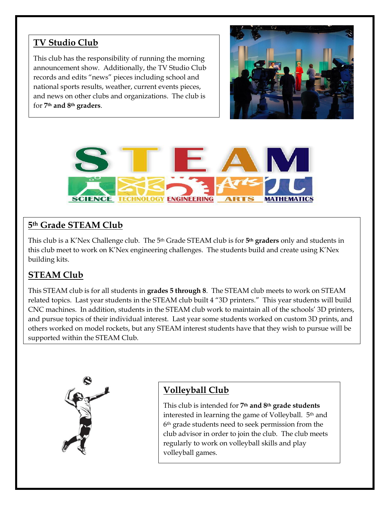## **TV Studio Club**

This club has the responsibility of running the morning announcement show. Additionally, the TV Studio Club records and edits "news" pieces including school and national sports results, weather, current events pieces, and news on other clubs and organizations. The club is for **7th and 8th graders**.





## **5th Grade STEAM Club**

This club is a K'Nex Challenge club. The 5th Grade STEAM club is for **5th graders** only and students in this club meet to work on K'Nex engineering challenges. The students build and create using K'Nex building kits.

## **STEAM Club**

This STEAM club is for all students in **grades 5 through 8**. The STEAM club meets to work on STEAM related topics. Last year students in the STEAM club built 4 "3D printers." This year students will build CNC machines. In addition, students in the STEAM club work to maintain all of the schools' 3D printers, and pursue topics of their individual interest. Last year some students worked on custom 3D prints, and others worked on model rockets, but any STEAM interest students have that they wish to pursue will be supported within the STEAM Club.



## **Volleyball Club**

This club is intended for **7th and 8th grade students** interested in learning the game of Volleyball. 5<sup>th</sup> and 6th grade students need to seek permission from the club advisor in order to join the club. The club meets regularly to work on volleyball skills and play volleyball games.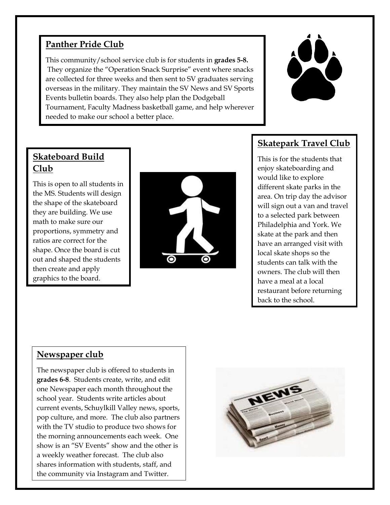## **Panther Pride Club**

This community/school service club is for students in **grades 5-8.** They organize the "Operation Snack Surprise" event where snacks are collected for three weeks and then sent to SV graduates serving overseas in the military. They maintain the SV News and SV Sports Events bulletin boards. They also help plan the Dodgeball Tournament, Faculty Madness basketball game, and help wherever needed to make our school a better place.



## **Skateboard Build Club**

This is open to all students in the MS. Students will design the shape of the skateboard they are building. We use math to make sure our proportions, symmetry and ratios are correct for the shape. Once the board is cut out and shaped the students then create and apply graphics to the board.



## **Skatepark Travel Club**

This is for the students that enjoy skateboarding and would like to explore different skate parks in the area. On trip day the advisor will sign out a van and travel to a selected park between Philadelphia and York. We skate at the park and then have an arranged visit with local skate shops so the students can talk with the owners. The club will then have a meal at a local restaurant before returning back to the school.

#### **Newspaper club**

The newspaper club is offered to students in **grades 6-8**. Students create, write, and edit one Newspaper each month throughout the school year. Students write articles about current events, Schuylkill Valley news, sports, pop culture, and more. The club also partners with the TV studio to produce two shows for the morning announcements each week. One show is an "SV Events" show and the other is a weekly weather forecast. The club also shares information with students, staff, and the community via Instagram and Twitter.

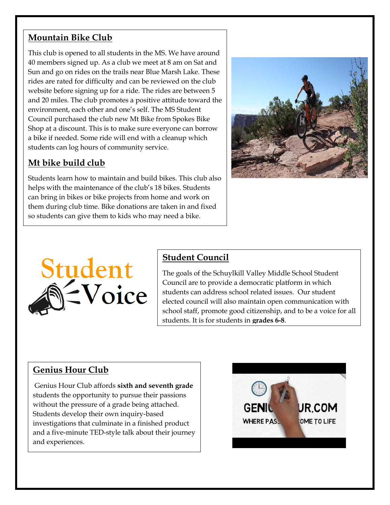## **Mountain Bike Club**

This club is opened to all students in the MS. We have around 40 members signed up. As a club we meet at 8 am on Sat and Sun and go on rides on the trails near Blue Marsh Lake. These rides are rated for difficulty and can be reviewed on the club website before signing up for a ride. The rides are between 5 and 20 miles. The club promotes a positive attitude toward the environment, each other and one's self. The MS Student Council purchased the club new Mt Bike from Spokes Bike Shop at a discount. This is to make sure everyone can borrow a bike if needed. Some ride will end with a cleanup which students can log hours of community service.

## **Mt bike build club**

Students learn how to maintain and build bikes. This club also helps with the maintenance of the club's 18 bikes. Students can bring in bikes or bike projects from home and work on them during club time. Bike donations are taken in and fixed so students can give them to kids who may need a bike.





## **Student Council**

The goals of the Schuylkill Valley Middle School Student Council are to provide a democratic platform in which students can address school related issues. Our student elected council will also maintain open communication with school staff, promote good citizenship, and to be a voice for all students. It is for students in **grades 6-8**.

## **Genius Hour Club**

Genius Hour Club affords **sixth and seventh grade** students the opportunity to pursue their passions without the pressure of a grade being attached. Students develop their own inquiry-based investigations that culminate in a finished product and a five-minute TED-style talk about their journey and experiences.